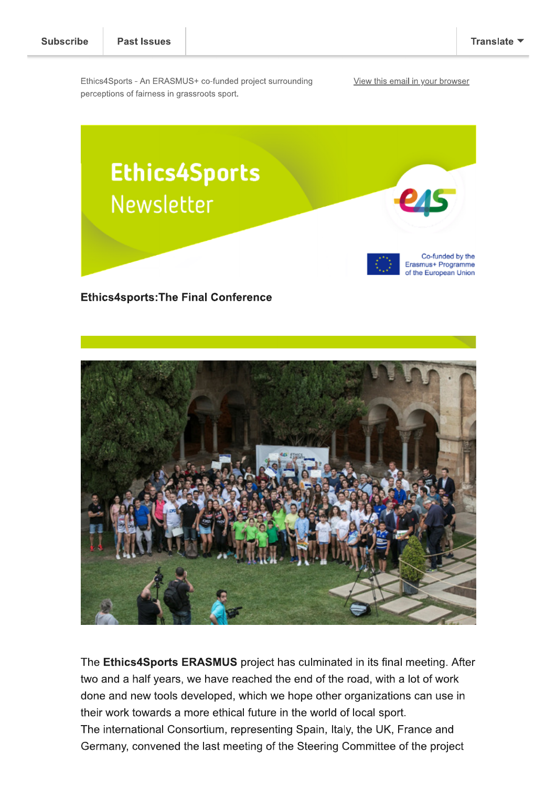Ethics4Sports - An ERASMUS+ co-funded project surrounding perceptions of fairness in grassroots sport.

View this email in your browser



**Ethics4sports: The Final Conference** 



The Ethics4Sports ERASMUS project has culminated in its final meeting. After two and a half years, we have reached the end of the road, with a lot of work done and new tools developed, which we hope other organizations can use in their work towards a more ethical future in the world of local sport. The international Consortium, representing Spain, Italy, the UK, France and Germany, convened the last meeting of the Steering Committee of the project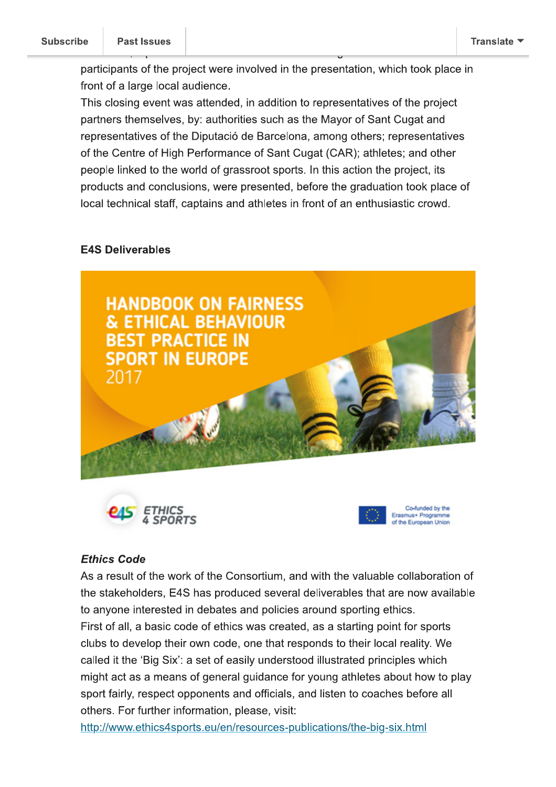participants of the project were involved in the presentation, which took place in front of a large local audience.

This closing event was attended, in addition to representatives of the project partners themselves, by: authorities such as the Mayor of Sant Cugat and representatives of the Diputació de Barcelona, among others; representatives of the Centre of High Performance of Sant Cugat (CAR); athletes; and other people linked to the world of grassroot sports. In this action the project, its products and conclusions, were presented, before the graduation took place of local technical staff, captains and athletes in front of an enthusiastic crowd.

### **E4S Deliverables**



#### **Ethics Code**

As a result of the work of the Consortium, and with the valuable collaboration of the stakeholders, E4S has produced several deliverables that are now available to anyone interested in debates and policies around sporting ethics. First of all, a basic code of ethics was created, as a starting point for sports clubs to develop their own code, one that responds to their local reality. We called it the 'Big Six': a set of easily understood illustrated principles which might act as a means of general guidance for young athletes about how to play sport fairly, respect opponents and officials, and listen to coaches before all others. For further information, please, visit:

http://www.ethics4sports.eu/en/resources-publications/the-big-six.html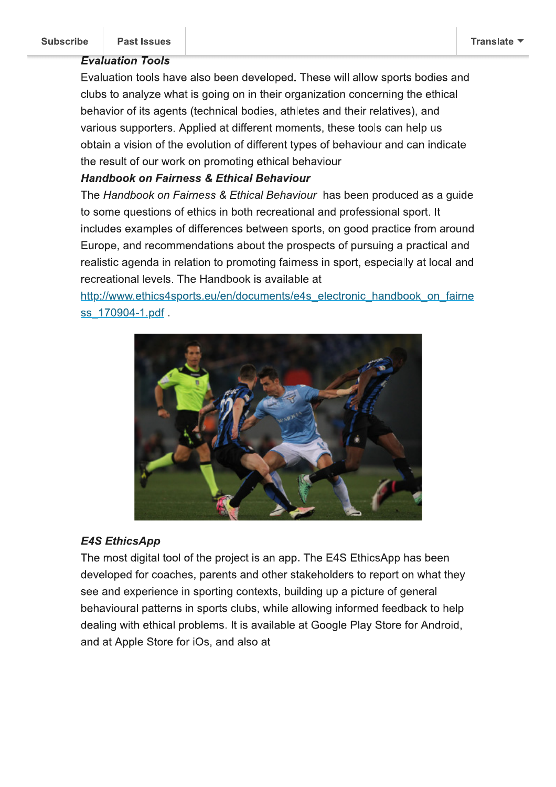## **Evaluation Tools**

Evaluation tools have also been developed. These will allow sports bodies and clubs to analyze what is going on in their organization concerning the ethical behavior of its agents (technical bodies, athletes and their relatives), and various supporters. Applied at different moments, these tools can help us obtain a vision of the evolution of different types of behaviour and can indicate the result of our work on promoting ethical behaviour

# **Handbook on Fairness & Ethical Behaviour**

The Handbook on Fairness & Ethical Behaviour has been produced as a guide to some questions of ethics in both recreational and professional sport. It includes examples of differences between sports, on good practice from around Europe, and recommendations about the prospects of pursuing a practical and realistic agenda in relation to promoting fairness in sport, especially at local and recreational levels. The Handbook is available at

http://www.ethics4sports.eu/en/documents/e4s electronic handbook on fairne ss 170904-1.pdf.



# **E4S EthicsApp**

The most digital tool of the project is an app. The E4S EthicsApp has been developed for coaches, parents and other stakeholders to report on what they see and experience in sporting contexts, building up a picture of general behavioural patterns in sports clubs, while allowing informed feedback to help dealing with ethical problems. It is available at Google Play Store for Android, and at Apple Store for iOs, and also at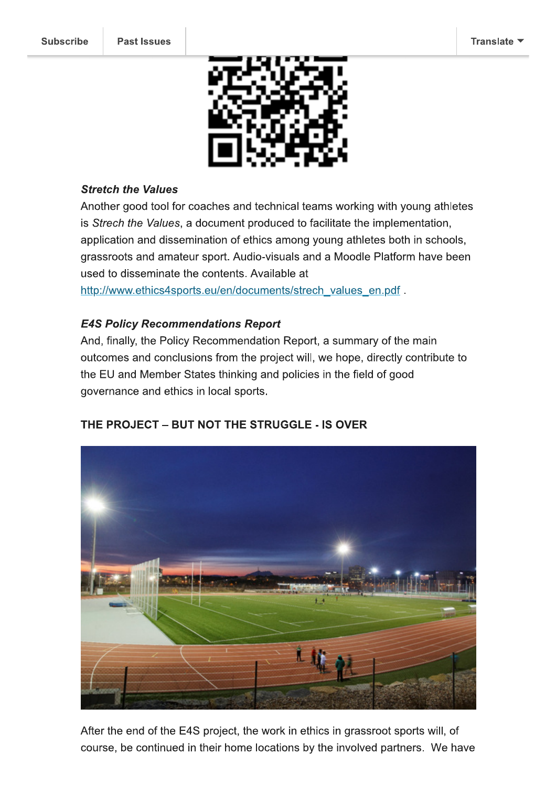

#### **Stretch the Values**

Another good tool for coaches and technical teams working with young athletes is Strech the Values, a document produced to facilitate the implementation, application and dissemination of ethics among young athletes both in schools, grassroots and amateur sport. Audio-visuals and a Moodle Platform have been used to disseminate the contents. Available at

http://www.ethics4sports.eu/en/documents/strech\_values\_en.pdf.

### **E4S Policy Recommendations Report**

And, finally, the Policy Recommendation Report, a summary of the main outcomes and conclusions from the project will, we hope, directly contribute to the EU and Member States thinking and policies in the field of good governance and ethics in local sports.

### THE PROJECT - BUT NOT THE STRUGGLE - IS OVER



After the end of the E4S project, the work in ethics in grassroot sports will, of course, be continued in their home locations by the involved partners. We have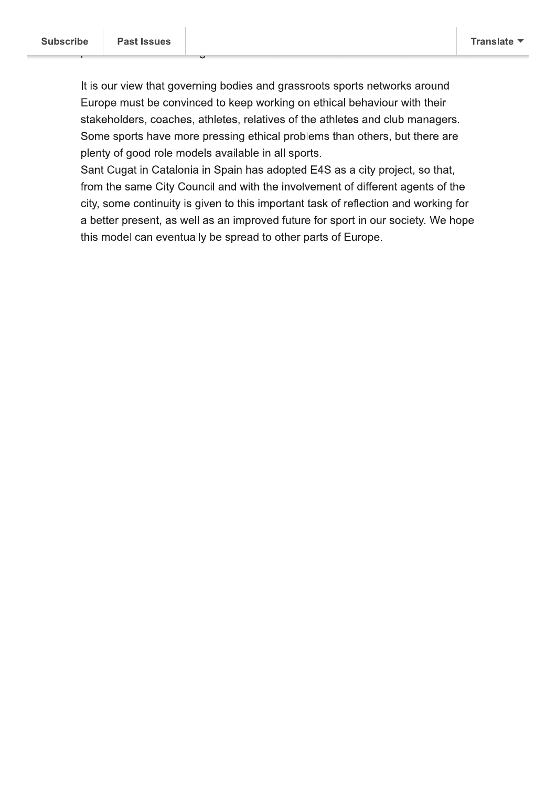It is our view that governing bodies and grassroots sports networks around Europe must be convinced to keep working on ethical behaviour with their stakeholders, coaches, athletes, relatives of the athletes and club managers. Some sports have more pressing ethical problems than others, but there are plenty of good role models available in all sports.

Sant Cugat in Catalonia in Spain has adopted E4S as a city project, so that, from the same City Council and with the involvement of different agents of the city, some continuity is given to this important task of reflection and working for a better present, as well as an improved future for sport in our society. We hope this model can eventually be spread to other parts of Europe.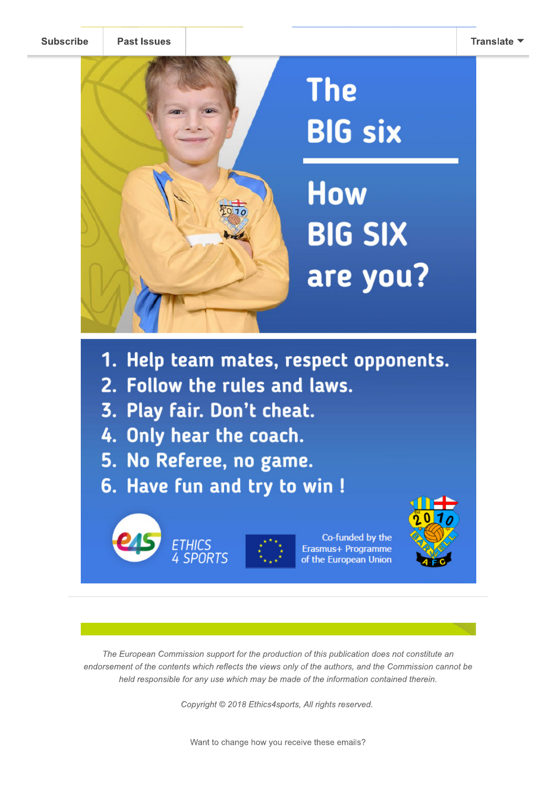**Subscribe** 



- 1. Help team mates, respect opponents.
- 2. Follow the rules and laws.
- 3. Play fair. Don't cheat.
- 4. Only hear the coach.
- 5. No Referee, no game.
- 6. Have fun and try to win !

ETHICS<br>4 SPORTS



Co-funded by the Erasmus+ Programme of the European Union



The European Commission support for the production of this publication does not constitute an endorsement of the contents which reflects the views only of the authors, and the Commission cannot be held responsible for any use which may be made of the information contained therein.

Copyright © 2018 Ethics4sports, All rights reserved.